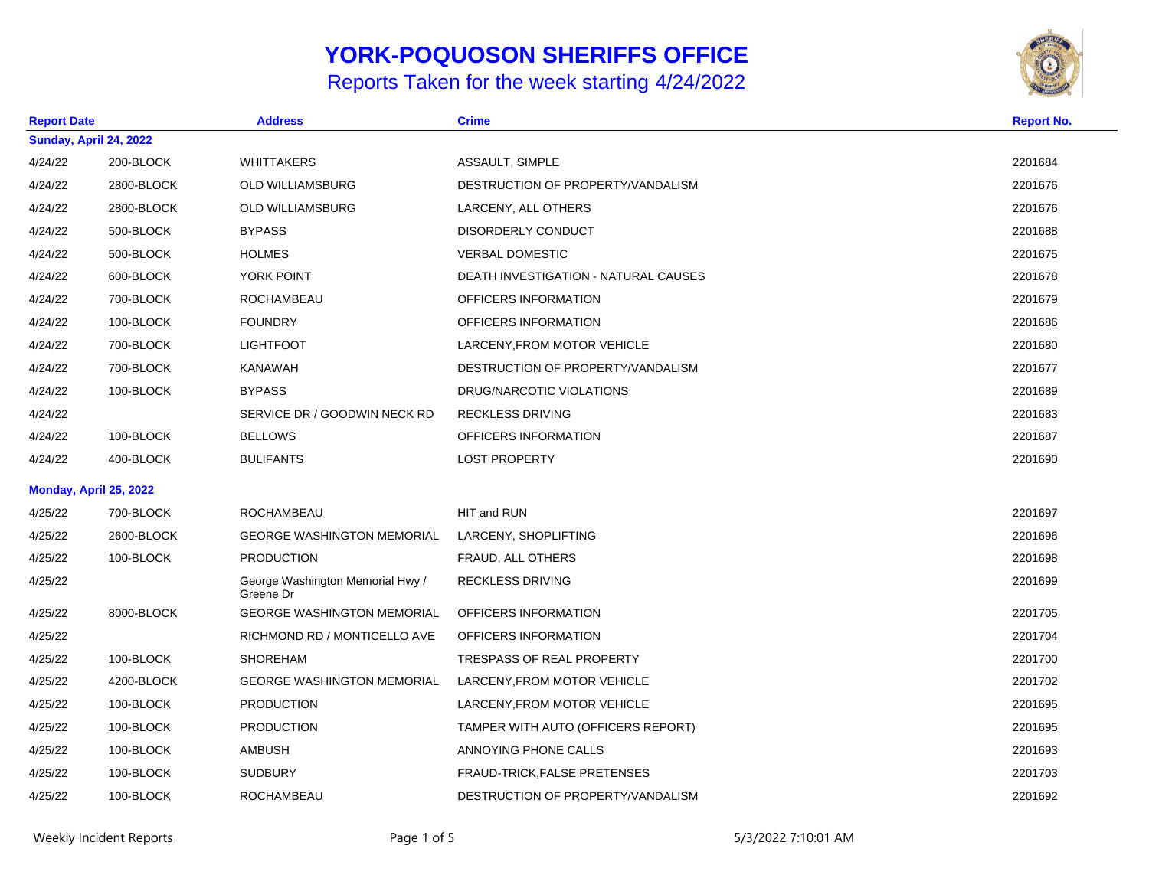## **YORK-POQUOSON SHERIFFS OFFICE**

## Reports Taken for the week starting 4/24/2022



| <b>Report Date</b> |                        | <b>Address</b>                                | <b>Crime</b>                         | <b>Report No.</b> |  |  |
|--------------------|------------------------|-----------------------------------------------|--------------------------------------|-------------------|--|--|
|                    | Sunday, April 24, 2022 |                                               |                                      |                   |  |  |
| 4/24/22            | 200-BLOCK              | <b>WHITTAKERS</b>                             | ASSAULT, SIMPLE                      | 2201684           |  |  |
| 4/24/22            | 2800-BLOCK             | <b>OLD WILLIAMSBURG</b>                       | DESTRUCTION OF PROPERTY/VANDALISM    | 2201676           |  |  |
| 4/24/22            | 2800-BLOCK             | <b>OLD WILLIAMSBURG</b>                       | LARCENY, ALL OTHERS                  | 2201676           |  |  |
| 4/24/22            | 500-BLOCK              | <b>BYPASS</b>                                 | DISORDERLY CONDUCT                   | 2201688           |  |  |
| 4/24/22            | 500-BLOCK              | <b>HOLMES</b>                                 | <b>VERBAL DOMESTIC</b>               | 2201675           |  |  |
| 4/24/22            | 600-BLOCK              | YORK POINT                                    | DEATH INVESTIGATION - NATURAL CAUSES | 2201678           |  |  |
| 4/24/22            | 700-BLOCK              | ROCHAMBEAU                                    | OFFICERS INFORMATION                 | 2201679           |  |  |
| 4/24/22            | 100-BLOCK              | <b>FOUNDRY</b>                                | OFFICERS INFORMATION                 | 2201686           |  |  |
| 4/24/22            | 700-BLOCK              | <b>LIGHTFOOT</b>                              | LARCENY, FROM MOTOR VEHICLE          | 2201680           |  |  |
| 4/24/22            | 700-BLOCK              | <b>KANAWAH</b>                                | DESTRUCTION OF PROPERTY/VANDALISM    | 2201677           |  |  |
| 4/24/22            | 100-BLOCK              | <b>BYPASS</b>                                 | DRUG/NARCOTIC VIOLATIONS             | 2201689           |  |  |
| 4/24/22            |                        | SERVICE DR / GOODWIN NECK RD                  | <b>RECKLESS DRIVING</b>              | 2201683           |  |  |
| 4/24/22            | 100-BLOCK              | <b>BELLOWS</b>                                | OFFICERS INFORMATION                 | 2201687           |  |  |
| 4/24/22            | 400-BLOCK              | <b>BULIFANTS</b>                              | <b>LOST PROPERTY</b>                 | 2201690           |  |  |
|                    | Monday, April 25, 2022 |                                               |                                      |                   |  |  |
| 4/25/22            | 700-BLOCK              | <b>ROCHAMBEAU</b>                             | HIT and RUN                          | 2201697           |  |  |
| 4/25/22            | 2600-BLOCK             | <b>GEORGE WASHINGTON MEMORIAL</b>             | LARCENY, SHOPLIFTING                 | 2201696           |  |  |
| 4/25/22            | 100-BLOCK              | <b>PRODUCTION</b>                             | FRAUD, ALL OTHERS                    | 2201698           |  |  |
| 4/25/22            |                        | George Washington Memorial Hwy /<br>Greene Dr | <b>RECKLESS DRIVING</b>              | 2201699           |  |  |
| 4/25/22            | 8000-BLOCK             | <b>GEORGE WASHINGTON MEMORIAL</b>             | OFFICERS INFORMATION                 | 2201705           |  |  |
| 4/25/22            |                        | RICHMOND RD / MONTICELLO AVE                  | OFFICERS INFORMATION                 | 2201704           |  |  |
| 4/25/22            | 100-BLOCK              | <b>SHOREHAM</b>                               | TRESPASS OF REAL PROPERTY            | 2201700           |  |  |
| 4/25/22            | 4200-BLOCK             | <b>GEORGE WASHINGTON MEMORIAL</b>             | LARCENY, FROM MOTOR VEHICLE          | 2201702           |  |  |
| 4/25/22            | 100-BLOCK              | <b>PRODUCTION</b>                             | LARCENY, FROM MOTOR VEHICLE          | 2201695           |  |  |
| 4/25/22            | 100-BLOCK              | <b>PRODUCTION</b>                             | TAMPER WITH AUTO (OFFICERS REPORT)   | 2201695           |  |  |
| 4/25/22            | 100-BLOCK              | <b>AMBUSH</b>                                 | ANNOYING PHONE CALLS                 | 2201693           |  |  |
| 4/25/22            | 100-BLOCK              | <b>SUDBURY</b>                                | FRAUD-TRICK, FALSE PRETENSES         | 2201703           |  |  |
| 4/25/22            | 100-BLOCK              | <b>ROCHAMBEAU</b>                             | DESTRUCTION OF PROPERTY/VANDALISM    | 2201692           |  |  |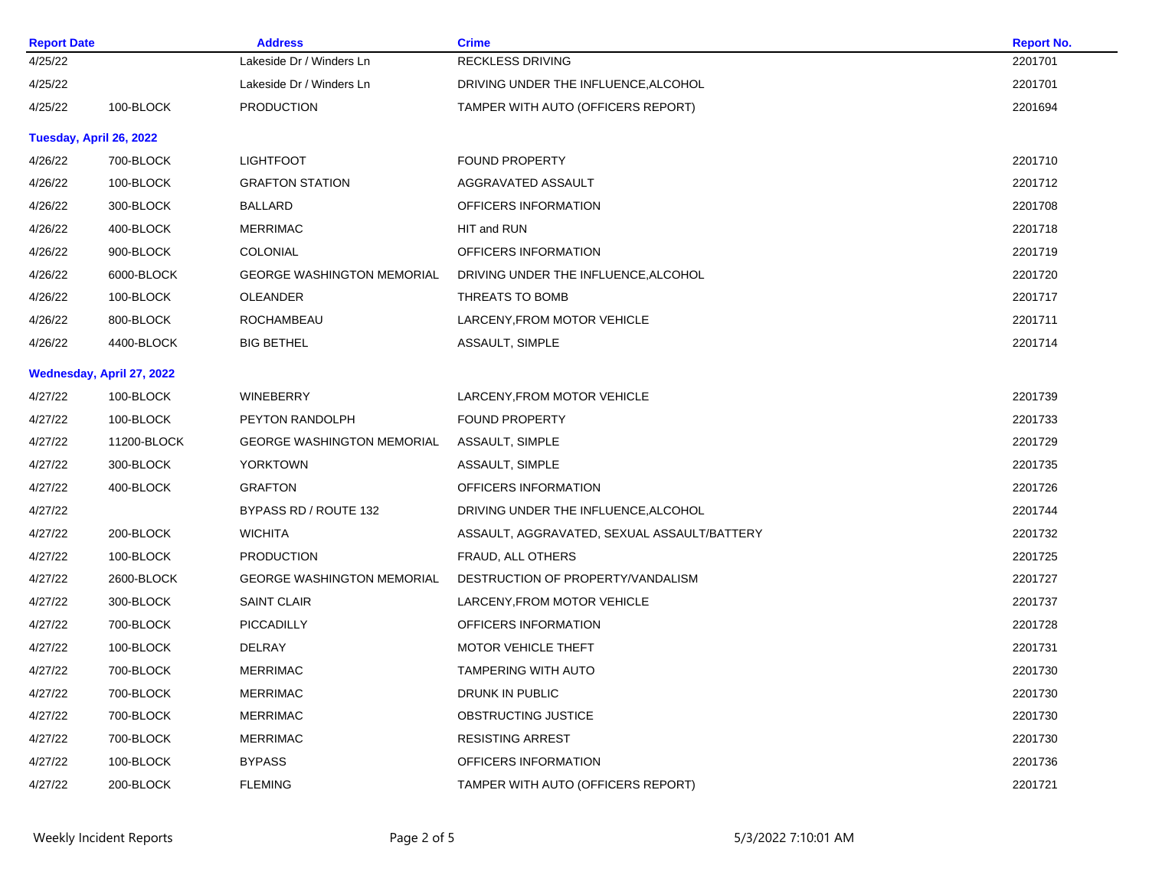| <b>Report Date</b>      |                           | <b>Address</b>                    | <b>Crime</b>                                | <b>Report No.</b> |
|-------------------------|---------------------------|-----------------------------------|---------------------------------------------|-------------------|
| 4/25/22                 |                           | Lakeside Dr / Winders Ln          | RECKLESS DRIVING                            | 2201701           |
| 4/25/22                 |                           | Lakeside Dr / Winders Ln          | DRIVING UNDER THE INFLUENCE, ALCOHOL        | 2201701           |
| 4/25/22                 | 100-BLOCK                 | <b>PRODUCTION</b>                 | TAMPER WITH AUTO (OFFICERS REPORT)          | 2201694           |
| Tuesday, April 26, 2022 |                           |                                   |                                             |                   |
| 4/26/22                 | 700-BLOCK                 | <b>LIGHTFOOT</b>                  | <b>FOUND PROPERTY</b>                       | 2201710           |
| 4/26/22                 | 100-BLOCK                 | <b>GRAFTON STATION</b>            | AGGRAVATED ASSAULT                          | 2201712           |
| 4/26/22                 | 300-BLOCK                 | <b>BALLARD</b>                    | OFFICERS INFORMATION                        | 2201708           |
| 4/26/22                 | 400-BLOCK                 | <b>MERRIMAC</b>                   | HIT and RUN                                 | 2201718           |
| 4/26/22                 | 900-BLOCK                 | <b>COLONIAL</b>                   | OFFICERS INFORMATION                        | 2201719           |
| 4/26/22                 | 6000-BLOCK                | <b>GEORGE WASHINGTON MEMORIAL</b> | DRIVING UNDER THE INFLUENCE, ALCOHOL        | 2201720           |
| 4/26/22                 | 100-BLOCK                 | OLEANDER                          | THREATS TO BOMB                             | 2201717           |
| 4/26/22                 | 800-BLOCK                 | ROCHAMBEAU                        | LARCENY, FROM MOTOR VEHICLE                 | 2201711           |
| 4/26/22                 | 4400-BLOCK                | <b>BIG BETHEL</b>                 | ASSAULT, SIMPLE                             | 2201714           |
|                         | Wednesday, April 27, 2022 |                                   |                                             |                   |
| 4/27/22                 | 100-BLOCK                 | <b>WINEBERRY</b>                  | LARCENY, FROM MOTOR VEHICLE                 | 2201739           |
| 4/27/22                 | 100-BLOCK                 | PEYTON RANDOLPH                   | <b>FOUND PROPERTY</b>                       | 2201733           |
| 4/27/22                 | 11200-BLOCK               | <b>GEORGE WASHINGTON MEMORIAL</b> | ASSAULT, SIMPLE                             | 2201729           |
| 4/27/22                 | 300-BLOCK                 | <b>YORKTOWN</b>                   | ASSAULT, SIMPLE                             | 2201735           |
| 4/27/22                 | 400-BLOCK                 | <b>GRAFTON</b>                    | OFFICERS INFORMATION                        | 2201726           |
| 4/27/22                 |                           | BYPASS RD / ROUTE 132             | DRIVING UNDER THE INFLUENCE, ALCOHOL        | 2201744           |
| 4/27/22                 | 200-BLOCK                 | <b>WICHITA</b>                    | ASSAULT, AGGRAVATED, SEXUAL ASSAULT/BATTERY | 2201732           |
| 4/27/22                 | 100-BLOCK                 | <b>PRODUCTION</b>                 | FRAUD, ALL OTHERS                           | 2201725           |
| 4/27/22                 | 2600-BLOCK                | <b>GEORGE WASHINGTON MEMORIAL</b> | DESTRUCTION OF PROPERTY/VANDALISM           | 2201727           |
| 4/27/22                 | 300-BLOCK                 | <b>SAINT CLAIR</b>                | LARCENY, FROM MOTOR VEHICLE                 | 2201737           |
| 4/27/22                 | 700-BLOCK                 | PICCADILLY                        | OFFICERS INFORMATION                        | 2201728           |
| 4/27/22                 | 100-BLOCK                 | DELRAY                            | MOTOR VEHICLE THEFT                         | 2201731           |
| 4/27/22                 | 700-BLOCK                 | <b>MERRIMAC</b>                   | <b>TAMPERING WITH AUTO</b>                  | 2201730           |
| 4/27/22                 | 700-BLOCK                 | <b>MERRIMAC</b>                   | DRUNK IN PUBLIC                             | 2201730           |
| 4/27/22                 | 700-BLOCK                 | <b>MERRIMAC</b>                   | OBSTRUCTING JUSTICE                         | 2201730           |
| 4/27/22                 | 700-BLOCK                 | <b>MERRIMAC</b>                   | <b>RESISTING ARREST</b>                     | 2201730           |
| 4/27/22                 | 100-BLOCK                 | <b>BYPASS</b>                     | OFFICERS INFORMATION                        | 2201736           |
| 4/27/22                 | 200-BLOCK                 | <b>FLEMING</b>                    | TAMPER WITH AUTO (OFFICERS REPORT)          | 2201721           |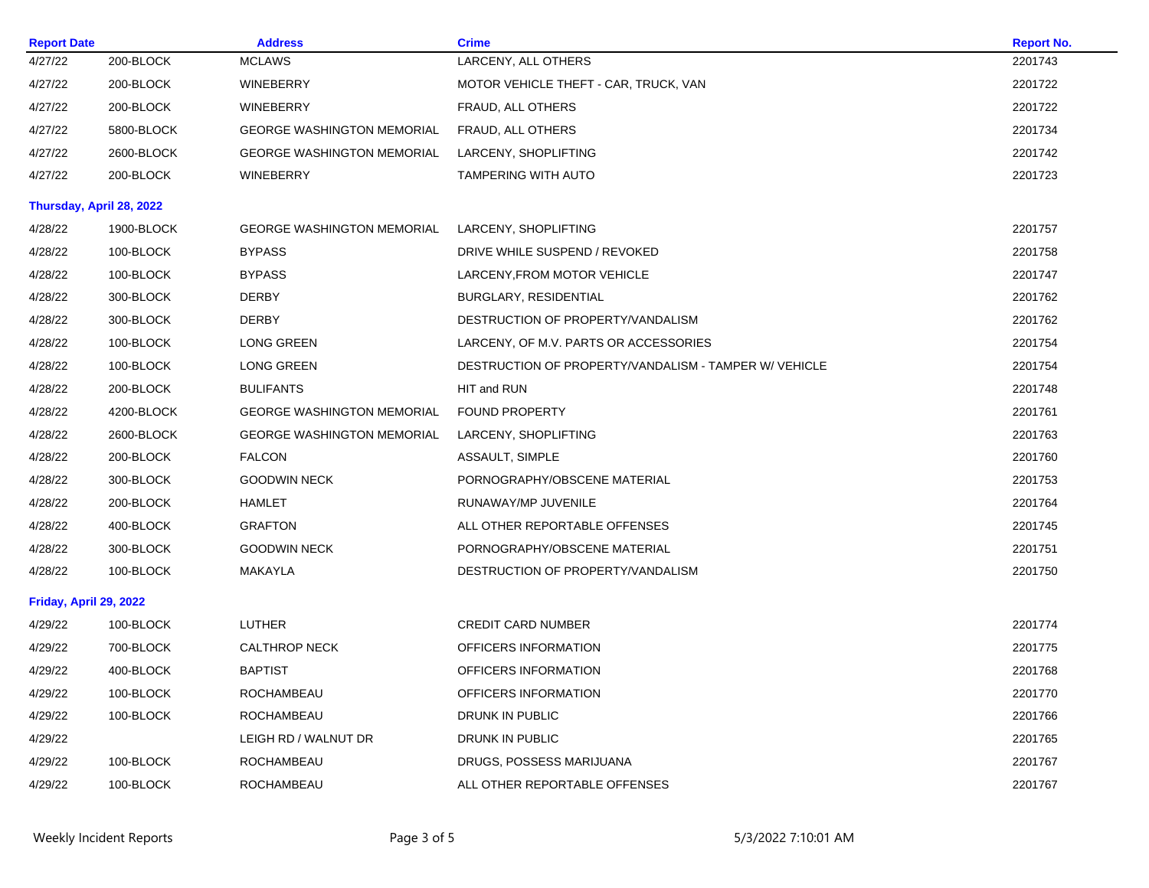| <b>Report Date</b>     |                          | <b>Address</b>                    | <b>Crime</b>                                          | <b>Report No.</b> |
|------------------------|--------------------------|-----------------------------------|-------------------------------------------------------|-------------------|
| 4/27/22                | 200-BLOCK                | <b>MCLAWS</b>                     | LARCENY, ALL OTHERS                                   | 2201743           |
| 4/27/22                | 200-BLOCK                | <b>WINEBERRY</b>                  | MOTOR VEHICLE THEFT - CAR, TRUCK, VAN                 | 2201722           |
| 4/27/22                | 200-BLOCK                | <b>WINEBERRY</b>                  | FRAUD, ALL OTHERS                                     | 2201722           |
| 4/27/22                | 5800-BLOCK               | <b>GEORGE WASHINGTON MEMORIAL</b> | FRAUD, ALL OTHERS                                     | 2201734           |
| 4/27/22                | 2600-BLOCK               | <b>GEORGE WASHINGTON MEMORIAL</b> | LARCENY, SHOPLIFTING                                  | 2201742           |
| 4/27/22                | 200-BLOCK                | <b>WINEBERRY</b>                  | <b>TAMPERING WITH AUTO</b>                            | 2201723           |
|                        | Thursday, April 28, 2022 |                                   |                                                       |                   |
| 4/28/22                | 1900-BLOCK               | <b>GEORGE WASHINGTON MEMORIAL</b> | LARCENY, SHOPLIFTING                                  | 2201757           |
| 4/28/22                | 100-BLOCK                | <b>BYPASS</b>                     | DRIVE WHILE SUSPEND / REVOKED                         | 2201758           |
| 4/28/22                | 100-BLOCK                | <b>BYPASS</b>                     | LARCENY, FROM MOTOR VEHICLE                           | 2201747           |
| 4/28/22                | 300-BLOCK                | <b>DERBY</b>                      | BURGLARY, RESIDENTIAL                                 | 2201762           |
| 4/28/22                | 300-BLOCK                | <b>DERBY</b>                      | DESTRUCTION OF PROPERTY/VANDALISM                     | 2201762           |
| 4/28/22                | 100-BLOCK                | <b>LONG GREEN</b>                 | LARCENY, OF M.V. PARTS OR ACCESSORIES                 | 2201754           |
| 4/28/22                | 100-BLOCK                | <b>LONG GREEN</b>                 | DESTRUCTION OF PROPERTY/VANDALISM - TAMPER W/ VEHICLE | 2201754           |
| 4/28/22                | 200-BLOCK                | <b>BULIFANTS</b>                  | HIT and RUN                                           | 2201748           |
| 4/28/22                | 4200-BLOCK               | <b>GEORGE WASHINGTON MEMORIAL</b> | <b>FOUND PROPERTY</b>                                 | 2201761           |
| 4/28/22                | 2600-BLOCK               | <b>GEORGE WASHINGTON MEMORIAL</b> | LARCENY, SHOPLIFTING                                  | 2201763           |
| 4/28/22                | 200-BLOCK                | <b>FALCON</b>                     | ASSAULT, SIMPLE                                       | 2201760           |
| 4/28/22                | 300-BLOCK                | <b>GOODWIN NECK</b>               | PORNOGRAPHY/OBSCENE MATERIAL                          | 2201753           |
| 4/28/22                | 200-BLOCK                | <b>HAMLET</b>                     | RUNAWAY/MP JUVENILE                                   | 2201764           |
| 4/28/22                | 400-BLOCK                | <b>GRAFTON</b>                    | ALL OTHER REPORTABLE OFFENSES                         | 2201745           |
| 4/28/22                | 300-BLOCK                | <b>GOODWIN NECK</b>               | PORNOGRAPHY/OBSCENE MATERIAL                          | 2201751           |
| 4/28/22                | 100-BLOCK                | MAKAYLA                           | DESTRUCTION OF PROPERTY/VANDALISM                     | 2201750           |
| Friday, April 29, 2022 |                          |                                   |                                                       |                   |
| 4/29/22                | 100-BLOCK                | <b>LUTHER</b>                     | <b>CREDIT CARD NUMBER</b>                             | 2201774           |
| 4/29/22                | 700-BLOCK                | <b>CALTHROP NECK</b>              | OFFICERS INFORMATION                                  | 2201775           |
| 4/29/22                | 400-BLOCK                | <b>BAPTIST</b>                    | OFFICERS INFORMATION                                  | 2201768           |
| 4/29/22                | 100-BLOCK                | ROCHAMBEAU                        | OFFICERS INFORMATION                                  | 2201770           |
| 4/29/22                | 100-BLOCK                | ROCHAMBEAU                        | DRUNK IN PUBLIC                                       | 2201766           |
| 4/29/22                |                          | LEIGH RD / WALNUT DR              | DRUNK IN PUBLIC                                       | 2201765           |
| 4/29/22                | 100-BLOCK                | ROCHAMBEAU                        | DRUGS, POSSESS MARIJUANA                              | 2201767           |
| 4/29/22                | 100-BLOCK                | ROCHAMBEAU                        | ALL OTHER REPORTABLE OFFENSES                         | 2201767           |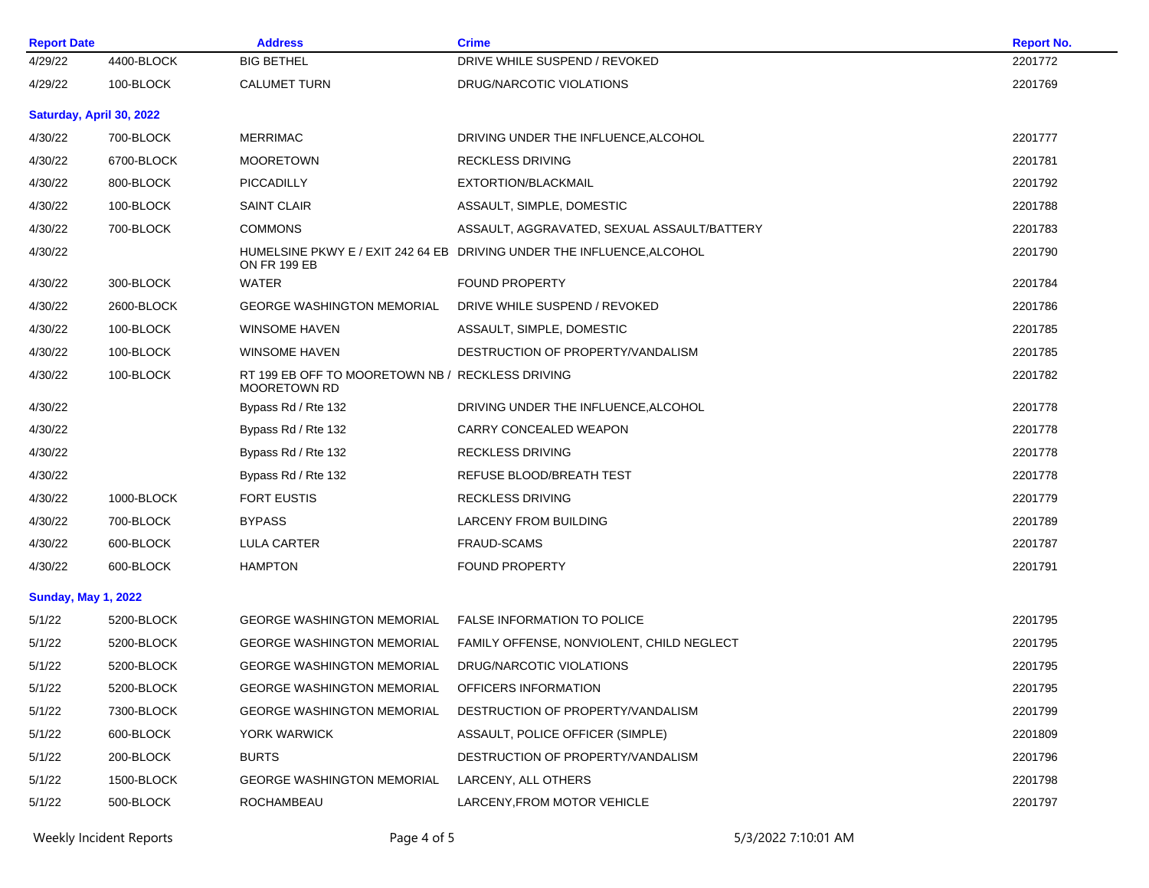| <b>Report Date</b>         |                          | <b>Address</b>                                                          | <b>Crime</b>                                                           | <b>Report No.</b> |
|----------------------------|--------------------------|-------------------------------------------------------------------------|------------------------------------------------------------------------|-------------------|
| 4/29/22                    | 4400-BLOCK               | <b>BIG BETHEL</b>                                                       | DRIVE WHILE SUSPEND / REVOKED                                          | 2201772           |
| 4/29/22                    | 100-BLOCK                | <b>CALUMET TURN</b>                                                     | DRUG/NARCOTIC VIOLATIONS                                               | 2201769           |
|                            | Saturday, April 30, 2022 |                                                                         |                                                                        |                   |
| 4/30/22                    | 700-BLOCK                | <b>MERRIMAC</b>                                                         | DRIVING UNDER THE INFLUENCE, ALCOHOL                                   | 2201777           |
| 4/30/22                    | 6700-BLOCK               | <b>MOORETOWN</b>                                                        | <b>RECKLESS DRIVING</b>                                                | 2201781           |
| 4/30/22                    | 800-BLOCK                | PICCADILLY                                                              | EXTORTION/BLACKMAIL                                                    | 2201792           |
| 4/30/22                    | 100-BLOCK                | <b>SAINT CLAIR</b>                                                      | ASSAULT, SIMPLE, DOMESTIC                                              | 2201788           |
| 4/30/22                    | 700-BLOCK                | <b>COMMONS</b>                                                          | ASSAULT, AGGRAVATED, SEXUAL ASSAULT/BATTERY                            | 2201783           |
| 4/30/22                    |                          | ON FR 199 EB                                                            | HUMELSINE PKWY E / EXIT 242 64 EB DRIVING UNDER THE INFLUENCE, ALCOHOL | 2201790           |
| 4/30/22                    | 300-BLOCK                | <b>WATER</b>                                                            | <b>FOUND PROPERTY</b>                                                  | 2201784           |
| 4/30/22                    | 2600-BLOCK               | <b>GEORGE WASHINGTON MEMORIAL</b>                                       | DRIVE WHILE SUSPEND / REVOKED                                          | 2201786           |
| 4/30/22                    | 100-BLOCK                | <b>WINSOME HAVEN</b>                                                    | ASSAULT, SIMPLE, DOMESTIC                                              | 2201785           |
| 4/30/22                    | 100-BLOCK                | <b>WINSOME HAVEN</b>                                                    | DESTRUCTION OF PROPERTY/VANDALISM                                      | 2201785           |
| 4/30/22                    | 100-BLOCK                | RT 199 EB OFF TO MOORETOWN NB / RECKLESS DRIVING<br><b>MOORETOWN RD</b> |                                                                        | 2201782           |
| 4/30/22                    |                          | Bypass Rd / Rte 132                                                     | DRIVING UNDER THE INFLUENCE, ALCOHOL                                   | 2201778           |
| 4/30/22                    |                          | Bypass Rd / Rte 132                                                     | CARRY CONCEALED WEAPON                                                 | 2201778           |
| 4/30/22                    |                          | Bypass Rd / Rte 132                                                     | <b>RECKLESS DRIVING</b>                                                | 2201778           |
| 4/30/22                    |                          | Bypass Rd / Rte 132                                                     | REFUSE BLOOD/BREATH TEST                                               | 2201778           |
| 4/30/22                    | 1000-BLOCK               | <b>FORT EUSTIS</b>                                                      | <b>RECKLESS DRIVING</b>                                                | 2201779           |
| 4/30/22                    | 700-BLOCK                | <b>BYPASS</b>                                                           | <b>LARCENY FROM BUILDING</b>                                           | 2201789           |
| 4/30/22                    | 600-BLOCK                | <b>LULA CARTER</b>                                                      | <b>FRAUD-SCAMS</b>                                                     | 2201787           |
| 4/30/22                    | 600-BLOCK                | <b>HAMPTON</b>                                                          | <b>FOUND PROPERTY</b>                                                  | 2201791           |
| <b>Sunday, May 1, 2022</b> |                          |                                                                         |                                                                        |                   |
| 5/1/22                     | 5200-BLOCK               | <b>GEORGE WASHINGTON MEMORIAL</b>                                       | <b>FALSE INFORMATION TO POLICE</b>                                     | 2201795           |
| 5/1/22                     | 5200-BLOCK               | <b>GEORGE WASHINGTON MEMORIAL</b>                                       | FAMILY OFFENSE, NONVIOLENT, CHILD NEGLECT                              | 2201795           |
| 5/1/22                     | 5200-BLOCK               | <b>GEORGE WASHINGTON MEMORIAL</b>                                       | DRUG/NARCOTIC VIOLATIONS                                               | 2201795           |
| 5/1/22                     | 5200-BLOCK               | <b>GEORGE WASHINGTON MEMORIAL</b>                                       | OFFICERS INFORMATION                                                   | 2201795           |
| 5/1/22                     | 7300-BLOCK               | <b>GEORGE WASHINGTON MEMORIAL</b>                                       | DESTRUCTION OF PROPERTY/VANDALISM                                      | 2201799           |
| 5/1/22                     | 600-BLOCK                | YORK WARWICK                                                            | ASSAULT, POLICE OFFICER (SIMPLE)                                       | 2201809           |
| 5/1/22                     | 200-BLOCK                | <b>BURTS</b>                                                            | DESTRUCTION OF PROPERTY/VANDALISM                                      | 2201796           |
| 5/1/22                     | 1500-BLOCK               | <b>GEORGE WASHINGTON MEMORIAL</b>                                       | LARCENY, ALL OTHERS                                                    | 2201798           |
| 5/1/22                     | 500-BLOCK                | <b>ROCHAMBEAU</b>                                                       | LARCENY, FROM MOTOR VEHICLE                                            | 2201797           |